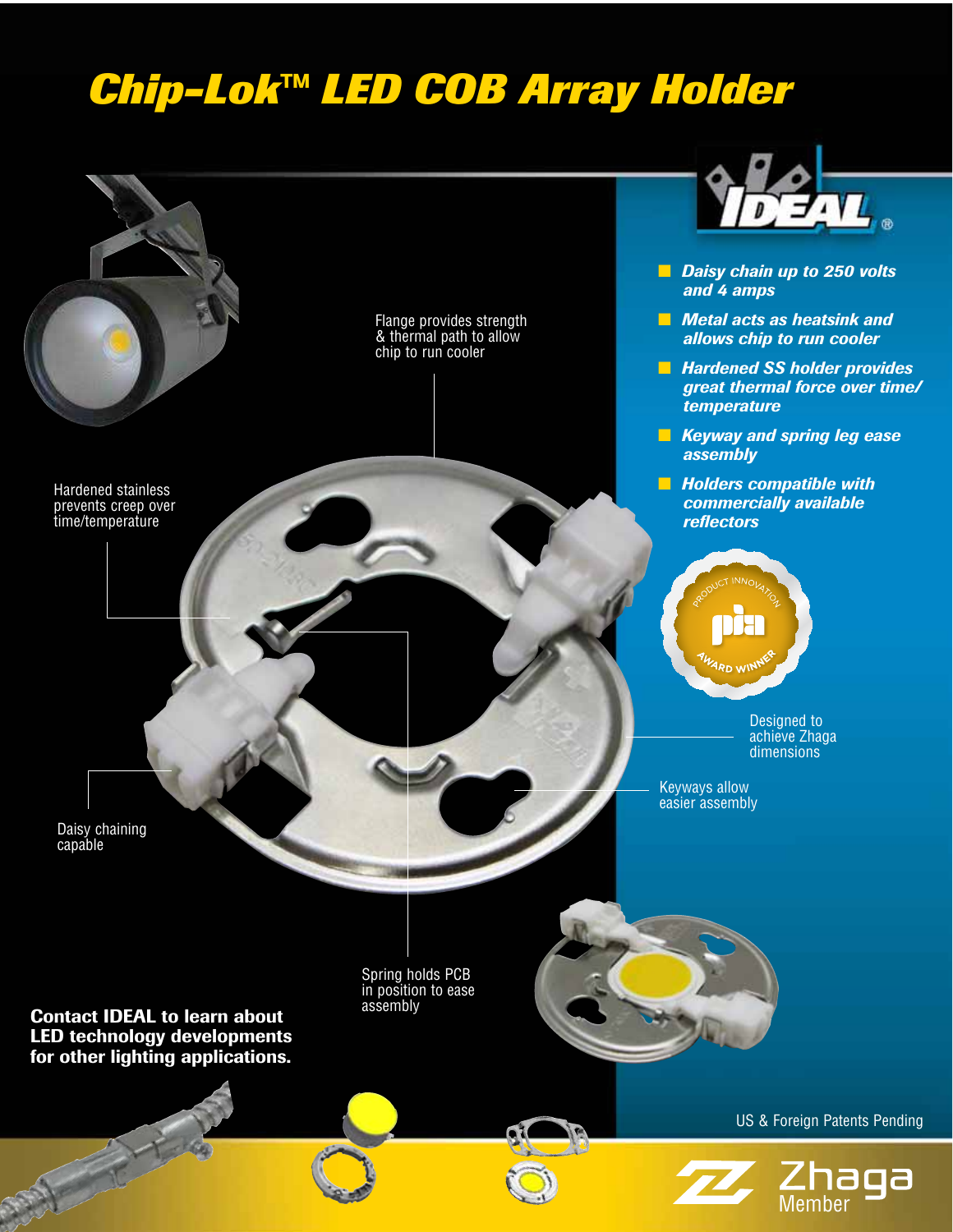## *Chip-Lok™ LED COB Array Holder*